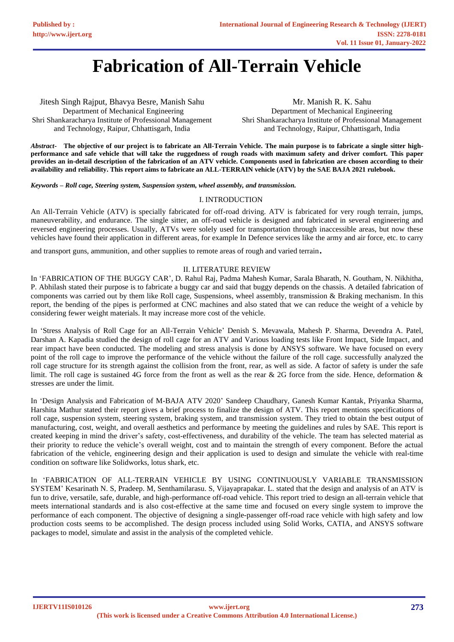# **Fabrication of All-Terrain Vehicle**

Jitesh Singh Rajput, Bhavya Besre, Manish Sahu Department of Mechanical Engineering Shri Shankaracharya Institute of Professional Management and Technology, Raipur, Chhattisgarh, India

Mr. Manish R. K. Sahu Department of Mechanical Engineering Shri Shankaracharya Institute of Professional Management and Technology, Raipur, Chhattisgarh, India

*Abstract***- The objective of our project is to fabricate an All-Terrain Vehicle. The main purpose is to fabricate a single sitter highperformance and safe vehicle that will take the ruggedness of rough roads with maximum safety and driver comfort. This paper provides an in-detail description of the fabrication of an ATV vehicle. Components used in fabrication are chosen according to their availability and reliability. This report aims to fabricate an ALL-TERRAIN vehicle (ATV) by the SAE BAJA 2021 rulebook.**

*Keywords – Roll cage, Steering system, Suspension system, wheel assembly, and transmission.*

# I. INTRODUCTION

An All-Terrain Vehicle (ATV) is specially fabricated for off-road driving. ATV is fabricated for very rough terrain, jumps, maneuverability, and endurance. The single sitter, an off-road vehicle is designed and fabricated in several engineering and reversed engineering processes. Usually, ATVs were solely used for transportation through inaccessible areas, but now these vehicles have found their application in different areas, for example In Defence services like the army and air force, etc. to carry

and transport guns, ammunition, and other supplies to remote areas of rough and varied terrain.

# II. LITERATURE REVIEW

In 'FABRICATION OF THE BUGGY CAR', D. Rahul Raj, Padma Mahesh Kumar, Sarala Bharath, N. Goutham, N. Nikhitha, P. Abhilash stated their purpose is to fabricate a buggy car and said that buggy depends on the chassis. A detailed fabrication of components was carried out by them like Roll cage, Suspensions, wheel assembly, transmission & Braking mechanism. In this report, the bending of the pipes is performed at CNC machines and also stated that we can reduce the weight of a vehicle by considering fewer weight materials. It may increase more cost of the vehicle.

In 'Stress Analysis of Roll Cage for an All-Terrain Vehicle' Denish S. Mevawala, Mahesh P. Sharma, Devendra A. Patel, Darshan A. Kapadia studied the design of roll cage for an ATV and Various loading tests like Front Impact, Side Impact, and rear impact have been conducted. The modeling and stress analysis is done by ANSYS software. We have focused on every point of the roll cage to improve the performance of the vehicle without the failure of the roll cage. successfully analyzed the roll cage structure for its strength against the collision from the front, rear, as well as side. A factor of safety is under the safe limit. The roll cage is sustained 4G force from the front as well as the rear & 2G force from the side. Hence, deformation & stresses are under the limit.

In 'Design Analysis and Fabrication of M-BAJA ATV 2020' Sandeep Chaudhary, Ganesh Kumar Kantak, Priyanka Sharma, Harshita Mathur stated their report gives a brief process to finalize the design of ATV. This report mentions specifications of roll cage, suspension system, steering system, braking system, and transmission system. They tried to obtain the best output of manufacturing, cost, weight, and overall aesthetics and performance by meeting the guidelines and rules by SAE. This report is created keeping in mind the driver's safety, cost-effectiveness, and durability of the vehicle. The team has selected material as their priority to reduce the vehicle's overall weight, cost and to maintain the strength of every component. Before the actual fabrication of the vehicle, engineering design and their application is used to design and simulate the vehicle with real-time condition on software like Solidworks, lotus shark, etc.

In 'FABRICATION OF ALL-TERRAIN VEHICLE BY USING CONTINUOUSLY VARIABLE TRANSMISSION SYSTEM' Kesarinath N. S, Pradeep. M, Senthamilarasu. S, Vijayaprapakar. L. stated that the design and analysis of an ATV is fun to drive, versatile, safe, durable, and high-performance off-road vehicle. This report tried to design an all-terrain vehicle that meets international standards and is also cost-effective at the same time and focused on every single system to improve the performance of each component. The objective of designing a single-passenger off-road race vehicle with high safety and low production costs seems to be accomplished. The design process included using Solid Works, CATIA, and ANSYS software packages to model, simulate and assist in the analysis of the completed vehicle.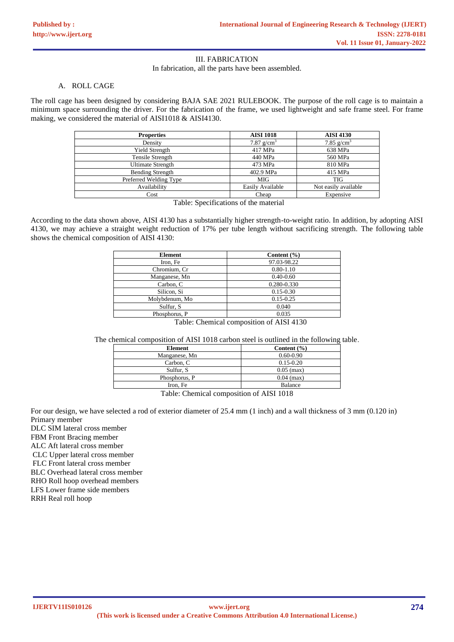# III. FABRICATION

In fabrication, all the parts have been assembled.

#### A. ROLL CAGE

The roll cage has been designed by considering BAJA SAE 2021 RULEBOOK. The purpose of the roll cage is to maintain a minimum space surrounding the driver. For the fabrication of the frame, we used lightweight and safe frame steel. For frame making, we considered the material of AISI1018 & AISI4130.

| <b>Properties</b>        | <b>AISI 1018</b> | <b>AISI 4130</b>     |
|--------------------------|------------------|----------------------|
| Density                  | 7.87 $g/cm3$     | 7.85 $g/cm3$         |
| <b>Yield Strength</b>    | 417 MPa          | 638 MPa              |
| Tensile Strength         | 440 MPa          | 560 MPa              |
| <b>Ultimate Strength</b> | 473 MPa          | 810 MPa              |
| <b>Bending Strength</b>  | 402.9 MPa        | 415 MPa              |
| Preferred Welding Type   | MIG              | <b>TIG</b>           |
| Availability             | Easily Available | Not easily available |
| Cost                     | Cheap            | Expensive            |

Table: Specifications of the material

According to the data shown above, AISI 4130 has a substantially higher strength-to-weight ratio. In addition, by adopting AISI 4130, we may achieve a straight weight reduction of 17% per tube length without sacrificing strength. The following table shows the chemical composition of AISI 4130:

| 97.03-98.22<br>$0.80 - 1.10$<br>$0.40 - 0.60$ |
|-----------------------------------------------|
|                                               |
|                                               |
|                                               |
| 0.280-0.330                                   |
| $0.15 - 0.30$                                 |
| $0.15 - 0.25$                                 |
| 0.040                                         |
| 0.035                                         |
| $T = 11$ $T = 1$ $T = 1$ $T = 1100$           |

Table: Chemical composition of AISI 4130

The chemical composition of AISI 1018 carbon steel is outlined in the following table.

| Element       | Content $(\% )$ |
|---------------|-----------------|
| Manganese, Mn | $0.60 - 0.90$   |
| Carbon, C     | $0.15 - 0.20$   |
| Sulfur, S.    | $0.05$ (max)    |
| Phosphorus, P | $0.04$ (max)    |
| Iron. Fe      | <b>Balance</b>  |

Table: Chemical composition of AISI 1018

For our design, we have selected a rod of exterior diameter of 25.4 mm (1 inch) and a wall thickness of 3 mm (0.120 in) Primary member

DLC SIM lateral cross member

FBM Front Bracing member

ALC Aft lateral cross member

CLC Upper lateral cross member

FLC Front lateral cross member

BLC Overhead lateral cross member

RHO Roll hoop overhead members

LFS Lower frame side members

RRH Real roll hoop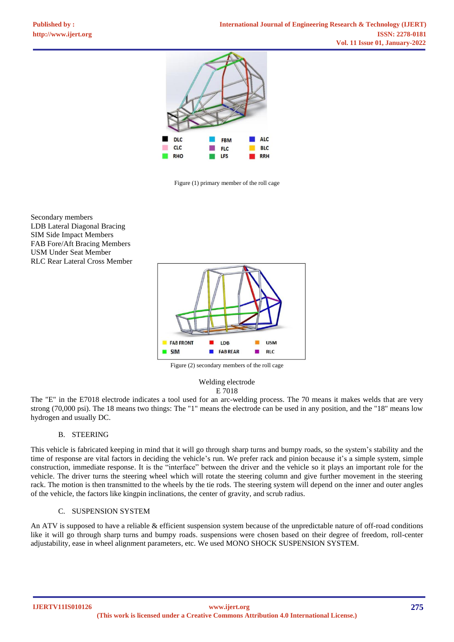

Figure (1) primary member of the roll cage

Secondary members LDB Lateral Diagonal Bracing SIM Side Impact Members FAB Fore/Aft Bracing Members USM Under Seat Member RLC Rear Lateral Cross Member



Figure (2) secondary members of the roll cage

Welding electrode E 7018

The "E" in the E7018 electrode indicates a tool used for an arc-welding process. The 70 means it makes welds that are very strong (70,000 psi). The 18 means two things: The "1" means the electrode can be used in any position, and the "18" means low hydrogen and usually DC.

## B. STEERING

This vehicle is fabricated keeping in mind that it will go through sharp turns and bumpy roads, so the system's stability and the time of response are vital factors in deciding the vehicle's run. We prefer rack and pinion because it's a simple system, simple construction, immediate response. It is the "interface" between the driver and the vehicle so it plays an important role for the vehicle. The driver turns the steering wheel which will rotate the steering column and give further movement in the steering rack. The motion is then transmitted to the wheels by the tie rods. The steering system will depend on the inner and outer angles of the vehicle, the factors like kingpin inclinations, the center of gravity, and scrub radius.

## C. SUSPENSION SYSTEM

An ATV is supposed to have a reliable & efficient suspension system because of the unpredictable nature of off-road conditions like it will go through sharp turns and bumpy roads. suspensions were chosen based on their degree of freedom, roll-center adjustability, ease in wheel alignment parameters, etc. We used MONO SHOCK SUSPENSION SYSTEM.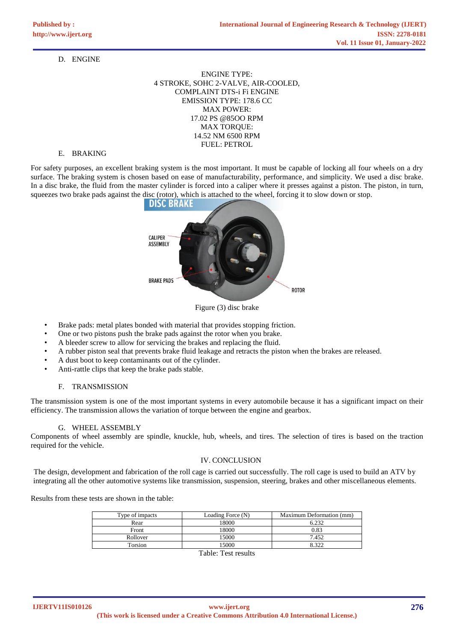# D. ENGINE

ENGINE TYPE: 4 STROKE, SOHC 2-VALVE, AIR-COOLED, COMPLAINT DTS-i Fi ENGINE EMISSION TYPE: 178.6 CC MAX POWER: 17.02 PS @85OO RPM MAX TORQUE: 14.52 NM 6500 RPM FUEL: PETROL

## E. BRAKING

For safety purposes, an excellent braking system is the most important. It must be capable of locking all four wheels on a dry surface. The braking system is chosen based on ease of manufacturability, performance, and simplicity. We used a disc brake. In a disc brake, the fluid from the master cylinder is forced into a caliper where it presses against a piston. The piston, in turn, squeezes two brake pads against the disc (rotor), which is attached to the wheel, forcing it to slow down or stop.



Figure (3) disc brake

- Brake pads: metal plates bonded with material that provides stopping friction.
- One or two pistons push the brake pads against the rotor when you brake.
- A bleeder screw to allow for servicing the brakes and replacing the fluid.
- A rubber piston seal that prevents brake fluid leakage and retracts the piston when the brakes are released.
- A dust boot to keep contaminants out of the cylinder.
- Anti-rattle clips that keep the brake pads stable.

## F. TRANSMISSION

The transmission system is one of the most important systems in every automobile because it has a significant impact on their efficiency. The transmission allows the variation of torque between the engine and gearbox.

#### G. WHEEL ASSEMBLY

Components of wheel assembly are spindle, knuckle, hub, wheels, and tires. The selection of tires is based on the traction required for the vehicle.

## IV. CONCLUSION

The design, development and fabrication of the roll cage is carried out successfully. The roll cage is used to build an ATV by integrating all the other automotive systems like transmission, suspension, steering, brakes and other miscellaneous elements.

Results from these tests are shown in the table:

| Type of impacts | Loading Force (N) | Maximum Deformation (mm) |
|-----------------|-------------------|--------------------------|
| Rear            | 18000             | 6.232                    |
| Front           | 18000             | 0.83                     |
| Rollover        | 15000             | 7.452                    |
| Torsion         | 15000             | 8.322                    |
|                 |                   |                          |

Table: Test results

**IJERTV11IS010126**